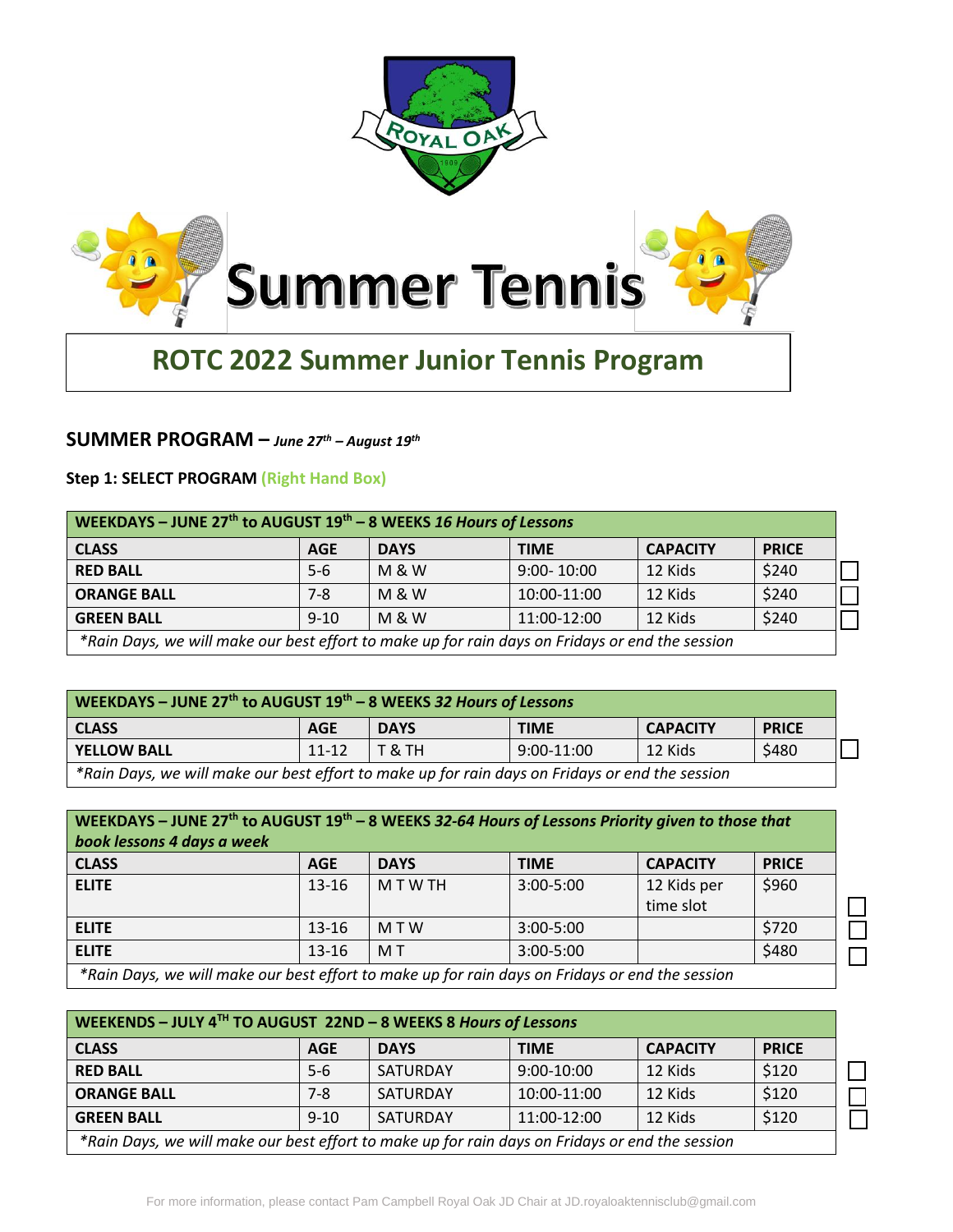



# **ROTC 2022 Summer Junior Tennis Program**

## **SUMMER PROGRAM –** *June 27 th – August 19th*

#### **Step 1: SELECT PROGRAM (Right Hand Box)**

| WEEKDAYS - JUNE 27 <sup>th</sup> to AUGUST $19th - 8$ WEEKS 16 Hours of Lessons                 |            |                  |                |                 |              |
|-------------------------------------------------------------------------------------------------|------------|------------------|----------------|-----------------|--------------|
| <b>CLASS</b>                                                                                    | <b>AGE</b> | <b>DAYS</b>      | <b>TIME</b>    | <b>CAPACITY</b> | <b>PRICE</b> |
| <b>RED BALL</b>                                                                                 | $5 - 6$    | <b>M &amp; W</b> | $9:00 - 10:00$ | 12 Kids         | \$240        |
| <b>ORANGE BALL</b>                                                                              | 7-8        | <b>M &amp; W</b> | 10:00-11:00    | 12 Kids         | \$240        |
| <b>GREEN BALL</b>                                                                               | $9 - 10$   | <b>M &amp; W</b> | 11:00-12:00    | 12 Kids         | \$240        |
| *Rain Days, we will make our hest effort to make un for rain days on Fridays or end the session |            |                  |                |                 |              |

*\*Rain Days, we will make our best effort to make up for rain days on Fridays or end the session*

| WEEKDAYS - JUNE 27 <sup>th</sup> to AUGUST 19 <sup>th</sup> - 8 WEEKS 32 Hours of Lessons       |            |             |              |                 |              |
|-------------------------------------------------------------------------------------------------|------------|-------------|--------------|-----------------|--------------|
| <b>CLASS</b>                                                                                    | <b>AGE</b> | <b>DAYS</b> | <b>TIME</b>  | <b>CAPACITY</b> | <b>PRICE</b> |
| <b>YELLOW BALL</b>                                                                              | $11 - 12$  | T & TH      | $9:00-11:00$ | 12 Kids         | \$480        |
| *Rain Days, we will make our best effort to make up for rain days on Fridays or end the session |            |             |              |                 |              |

| WEEKDAYS - JUNE 27 <sup>th</sup> to AUGUST 19 <sup>th</sup> - 8 WEEKS 32-64 Hours of Lessons Priority given to those that |            |             |               |                          |              |
|---------------------------------------------------------------------------------------------------------------------------|------------|-------------|---------------|--------------------------|--------------|
| book lessons 4 days a week                                                                                                |            |             |               |                          |              |
| <b>CLASS</b>                                                                                                              | <b>AGE</b> | <b>DAYS</b> | <b>TIME</b>   | <b>CAPACITY</b>          | <b>PRICE</b> |
| <b>ELITE</b>                                                                                                              | $13 - 16$  | MTWTH       | $3:00 - 5:00$ | 12 Kids per<br>time slot | \$960        |
| <b>ELITE</b>                                                                                                              | $13 - 16$  | <b>MTW</b>  | $3:00 - 5:00$ |                          | \$720        |
| <b>ELITE</b>                                                                                                              | $13 - 16$  | M T         | 3:00-5:00     |                          | \$480        |
| *Rain Days, we will make our hest effort to make un for rain days on Fridays or end the session.                          |            |             |               |                          |              |

*\*Rain Days, we will make our best effort to make up for rain days on Fridays or end the session*

| WEEKENDS - JULY 4TH TO AUGUST 22ND - 8 WEEKS 8 Hours of Lessons                                 |            |             |              |                 |              |  |
|-------------------------------------------------------------------------------------------------|------------|-------------|--------------|-----------------|--------------|--|
| <b>CLASS</b>                                                                                    | <b>AGE</b> | <b>DAYS</b> | <b>TIME</b>  | <b>CAPACITY</b> | <b>PRICE</b> |  |
| <b>RED BALL</b>                                                                                 | $5-6$      | SATURDAY    | $9:00-10:00$ | 12 Kids         | \$120        |  |
| <b>ORANGE BALL</b>                                                                              | $7 - 8$    | SATURDAY    | 10:00-11:00  | 12 Kids         | \$120        |  |
| <b>GREEN BALL</b>                                                                               | $9 - 10$   | SATURDAY    | 11:00-12:00  | 12 Kids         | \$120        |  |
| *Rain Days, we will make our best effort to make up for rain days on Fridays or end the session |            |             |              |                 |              |  |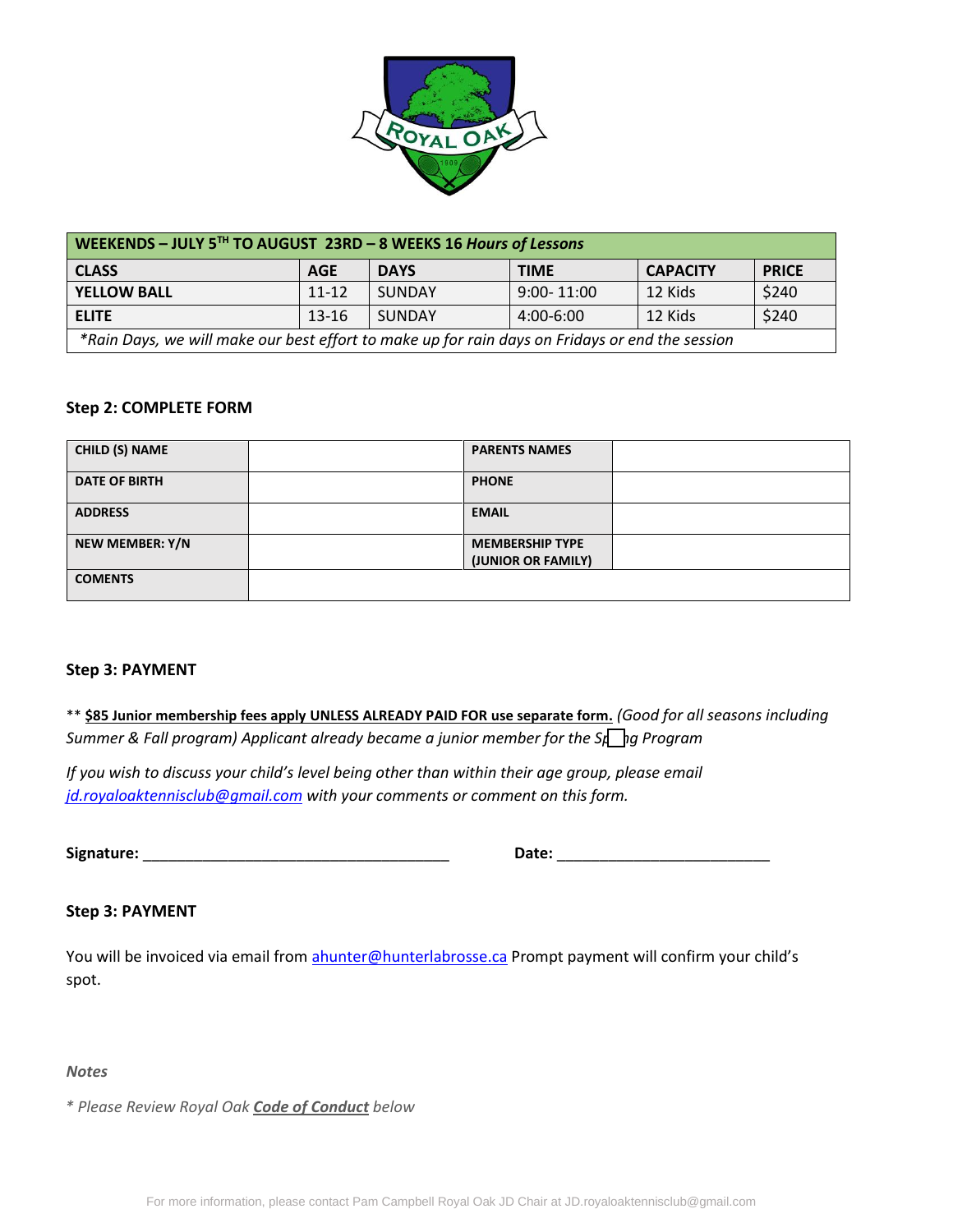

| WEEKENDS - JULY 5TH TO AUGUST 23RD - 8 WEEKS 16 Hours of Lessons                                |            |             |                |                 |              |  |
|-------------------------------------------------------------------------------------------------|------------|-------------|----------------|-----------------|--------------|--|
| <b>CLASS</b>                                                                                    | <b>AGE</b> | <b>DAYS</b> | <b>TIME</b>    | <b>CAPACITY</b> | <b>PRICE</b> |  |
| <b>YELLOW BALL</b>                                                                              | $11 - 12$  | SUNDAY      | $9:00 - 11:00$ | 12 Kids         | \$240        |  |
| <b>ELITE</b>                                                                                    | $13 - 16$  | SUNDAY      | 4:00-6:00      | 12 Kids         | \$240        |  |
| *Rain Days, we will make our best effort to make up for rain days on Fridays or end the session |            |             |                |                 |              |  |

#### **Step 2: COMPLETE FORM**

| <b>CHILD (S) NAME</b>  | <b>PARENTS NAMES</b>                         |  |
|------------------------|----------------------------------------------|--|
| <b>DATE OF BIRTH</b>   | <b>PHONE</b>                                 |  |
| <b>ADDRESS</b>         | <b>EMAIL</b>                                 |  |
| <b>NEW MEMBER: Y/N</b> | <b>MEMBERSHIP TYPE</b><br>(JUNIOR OR FAMILY) |  |
| <b>COMENTS</b>         |                                              |  |

#### **Step 3: PAYMENT**

\*\* **\$85 Junior membership fees apply UNLESS ALREADY PAID FOR use separate form.** *(Good for all seasons including Summer & Fall program) Applicant already became a junior member for the Spragneram* 

*If you wish to discuss your child's level being other than within their age group, please email [jd.royaloaktennisclub@gmail.com](mailto:jd.royaloaktennisclub@gmail.com) with your comments or comment on this form.*

**Signature:** \_\_\_\_\_\_\_\_\_\_\_\_\_\_\_\_\_\_\_\_\_\_\_\_\_\_\_\_\_\_\_\_\_\_\_\_ **Date:** \_\_\_\_\_\_\_\_\_\_\_\_\_\_\_\_\_\_\_\_\_\_\_\_\_

#### **Step 3: PAYMENT**

You will be invoiced via email from [ahunter@hunterlabrosse.ca](mailto:ahunter@hunterlabrosse.ca) Prompt payment will confirm your child's spot.

#### *Notes*

*\* Please Review Royal Oak Code of Conduct below*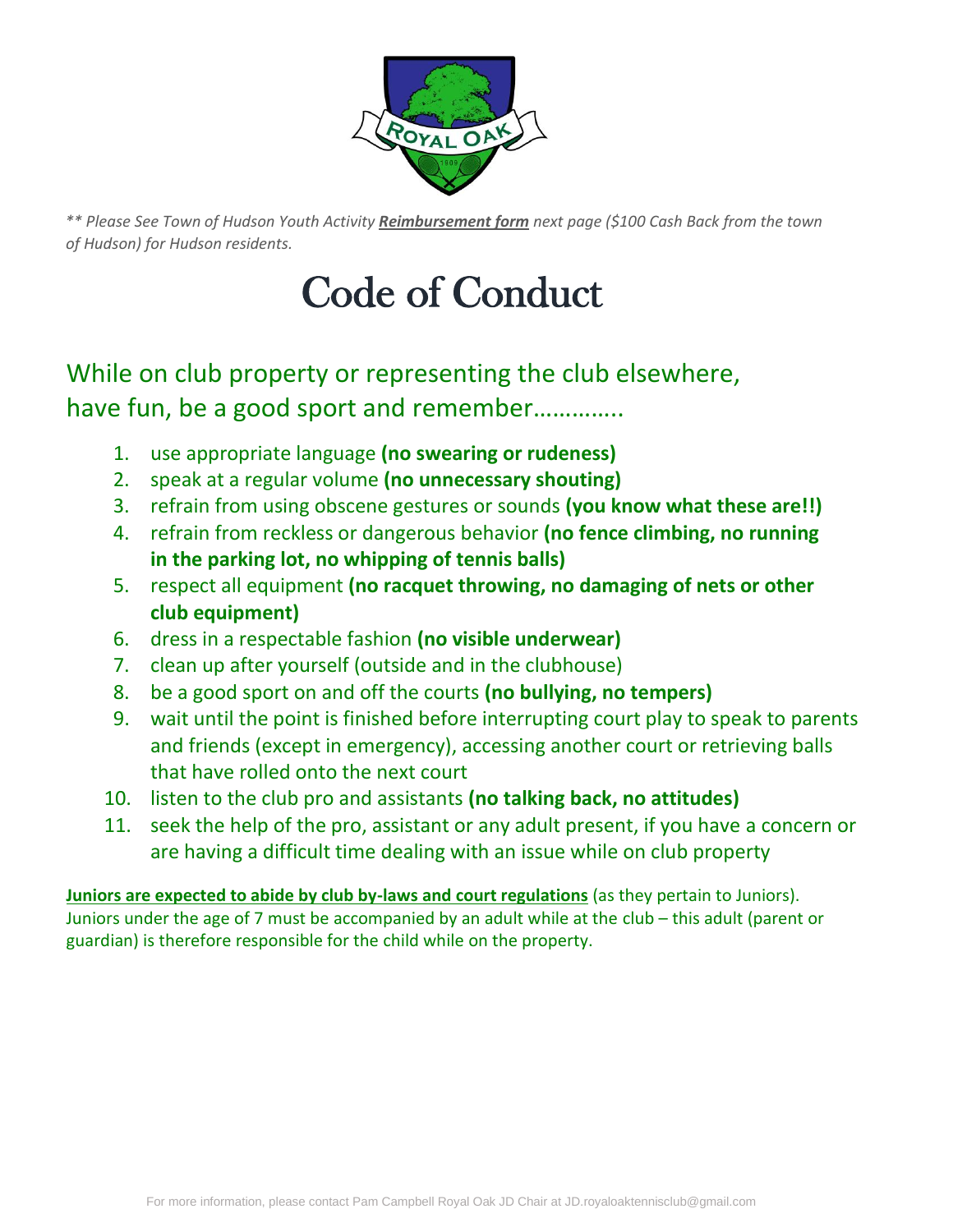

*\*\* Please See Town of Hudson Youth Activity Reimbursement form next page (\$100 Cash Back from the town of Hudson) for Hudson residents.*

# Code of Conduct

## While on club property or representing the club elsewhere, have fun, be a good sport and remember..............

- 1. use appropriate language **(no swearing or rudeness)**
- 2. speak at a regular volume **(no unnecessary shouting)**
- 3. refrain from using obscene gestures or sounds **(you know what these are!!)**
- 4. refrain from reckless or dangerous behavior **(no fence climbing, no running in the parking lot, no whipping of tennis balls)**
- 5. respect all equipment **(no racquet throwing, no damaging of nets or other club equipment)**
- 6. dress in a respectable fashion **(no visible underwear)**
- 7. clean up after yourself (outside and in the clubhouse)
- 8. be a good sport on and off the courts **(no bullying, no tempers)**
- 9. wait until the point is finished before interrupting court play to speak to parents and friends (except in emergency), accessing another court or retrieving balls that have rolled onto the next court
- 10. listen to the club pro and assistants **(no talking back, no attitudes)**
- 11. seek the help of the pro, assistant or any adult present, if you have a concern or are having a difficult time dealing with an issue while on club property

**Juniors are expected to abide by club by-laws and court regulations** (as they pertain to Juniors). Juniors under the age of 7 must be accompanied by an adult while at the club – this adult (parent or guardian) is therefore responsible for the child while on the property.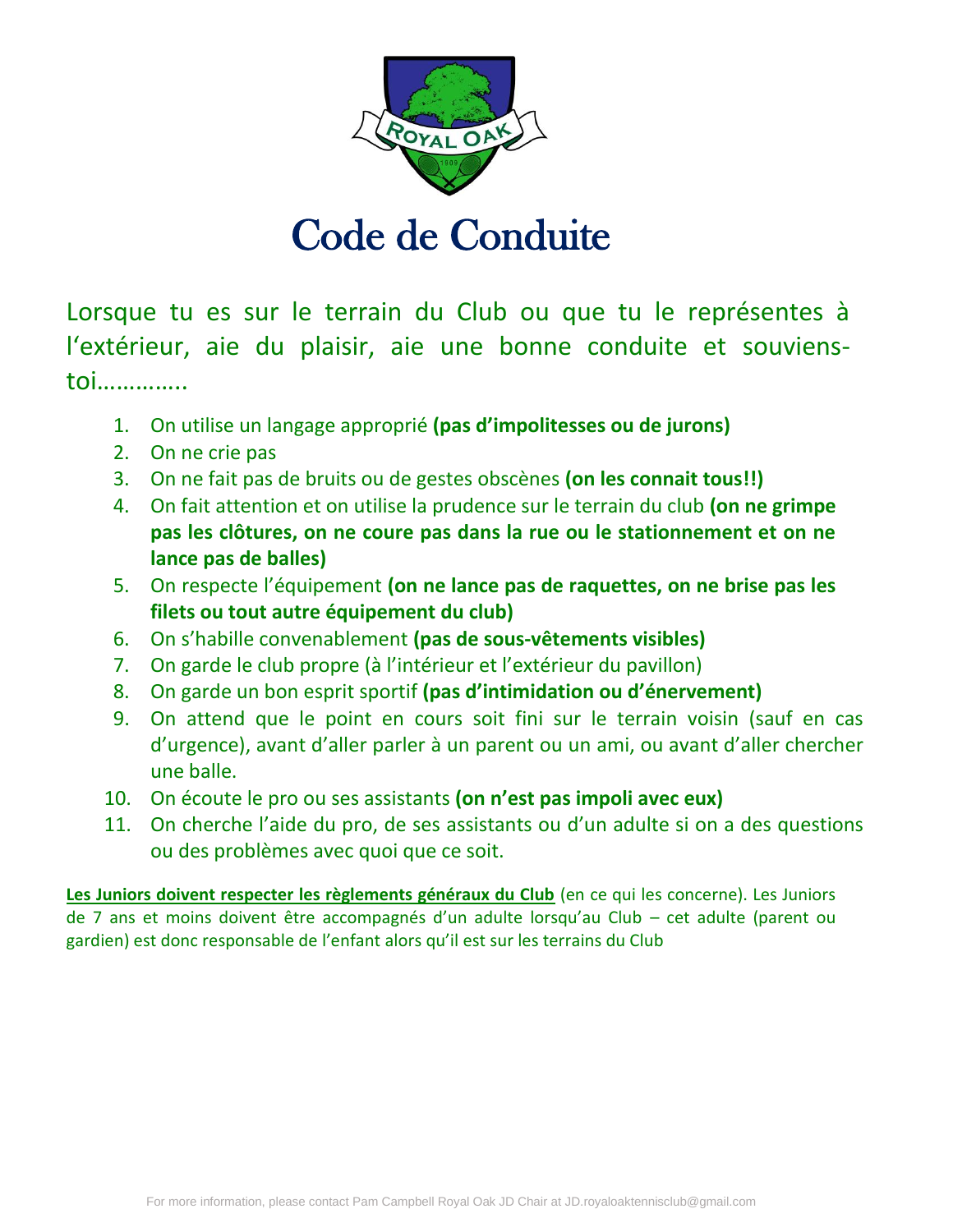

# Code de Conduite

Lorsque tu es sur le terrain du Club ou que tu le représentes à l'extérieur, aie du plaisir, aie une bonne conduite et souvienstoi…………..

- 1. On utilise un langage approprié **(pas d'impolitesses ou de jurons)**
- 2. On ne crie pas
- 3. On ne fait pas de bruits ou de gestes obscènes **(on les connait tous!!)**
- 4. On fait attention et on utilise la prudence sur le terrain du club **(on ne grimpe pas les clôtures, on ne coure pas dans la rue ou le stationnement et on ne lance pas de balles)**
- 5. On respecte l'équipement **(on ne lance pas de raquettes, on ne brise pas les filets ou tout autre équipement du club)**
- 6. On s'habille convenablement **(pas de sous-vêtements visibles)**
- 7. On garde le club propre (à l'intérieur et l'extérieur du pavillon)
- 8. On garde un bon esprit sportif **(pas d'intimidation ou d'énervement)**
- 9. On attend que le point en cours soit fini sur le terrain voisin (sauf en cas d'urgence), avant d'aller parler à un parent ou un ami, ou avant d'aller chercher une balle.
- 10. On écoute le pro ou ses assistants **(on n'est pas impoli avec eux)**
- 11. On cherche l'aide du pro, de ses assistants ou d'un adulte si on a des questions ou des problèmes avec quoi que ce soit.

**Les Juniors doivent respecter les règlements généraux du Club** (en ce qui les concerne). Les Juniors de 7 ans et moins doivent être accompagnés d'un adulte lorsqu'au Club – cet adulte (parent ou gardien) est donc responsable de l'enfant alors qu'il est sur les terrains du Club